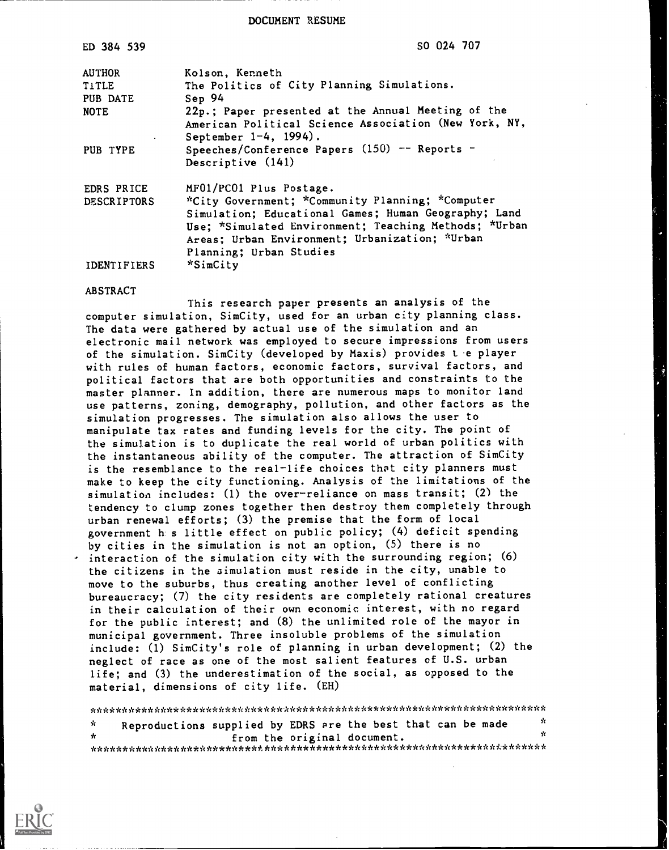DOCUMENT RESUME

| ED 384 539         | SO 024 707                                            |
|--------------------|-------------------------------------------------------|
| <b>AUTHOR</b>      | Kolson, Kenneth                                       |
| <b>TITLE</b>       | The Politics of City Planning Simulations.            |
| PUB DATE           | Sep 94                                                |
| <b>NOTE</b>        | 22p.; Paper presented at the Annual Meeting of the    |
|                    | American Political Science Association (New York, NY, |
|                    | September 1-4, 1994).                                 |
| PUB TYPE           | Speeches/Conference Papers $(150)$ -- Reports -       |
|                    | Descriptive (141)                                     |
| EDRS PRICE         | MF01/PC01 Plus Postage.                               |
| <b>DESCRIPTORS</b> | *City Government; *Community Planning; *Computer      |
|                    | Simulation; Educational Games; Human Geography; Land  |
|                    | Use; *Simulated Environment; Teaching Methods; *Urban |
|                    | Areas; Urban Environment; Urbanization; *Urban        |
|                    | Planning; Urban Studies                               |
| IDENTIFIERS        | *SimCity                                              |

#### ABSTRACT

This research paper presents an analysis of the computer simulation, SimCity, used for an urban city planning class. The data were gathered by actual use of the simulation and an electronic mail network was employed to secure impressions from users of the simulation. SimCity (developed by Maxis) provides the player with rules of human factors, economic factors, survival factors, and political factors that are both opportunities and constraints to the master planner. In addition, there are numerous maps to monitor land use patterns, zoning, demography, pollution, and other factors as the simulation progresses. The simulation also allows the user to manipulate tax rates and funding levels for the city. The point of the simulation is to duplicate the real world of urban politics with the instantaneous ability of the computer. The attraction of SimCity is the resemblance to the real-life choices that city planners must make to keep the city functioning. Analysis of the limitations of the simulation includes: (1) the over-reliance on mass transit; (2) the tendency to clump zones together then destroy them completely through urban renewal efforts; (3) the premise that the form of local government h s little effect on public policy; (4) deficit spending by cities in the simulation is not an option, (5) there is no interaction of the simulation city with the surrounding region; (6) the citizens in the simulation must reside in the city, unable to move to the suburbs, thus creating another level of conflicting bureaucracy; (7) the city residents are completely rational creatures in their calculation of their own economic interest, with no regard for the public interest; and (8) the unlimited role of the mayor in municipal government. Three insoluble problems of the simulation include: (1) SimCity's role of planning in urban development; (2) the neglect of race as one of the most salient features of U.S. urban life; and (3) the underestimation of the social, as opposed to the material, dimensions of city life. (EH)

\*\*\*\*\*\*\*\*\*\*\*\*\*\*\*\*\*\*\*\*\*\*\*\*\*\*\*\*\*\*A\*\*\*\*\*\*\*\*\*\*\*\*\*\*\*\*\*\*\*\*\*\*\*\*\*\*\*\*\*\*\*\*\*\*\*\*\*\*\*\* Reproductions supplied by EDRS are the best that can be made \*  $\mathbf{x}$  $\star$ from the original document. \*\*\*\*\*\*\*\*\*\*\*\*\*\*\*\*\*\*\*\*\*\*\*\*\*\*\*\*\*\*\*\*\*\*\*\*\*\*\*\*\*\*\*\*\*\*\*\*\*\*\*\*\*\*\*\*\*\*\*\*\*\*\*\*\*\*\*\*\*\*\*

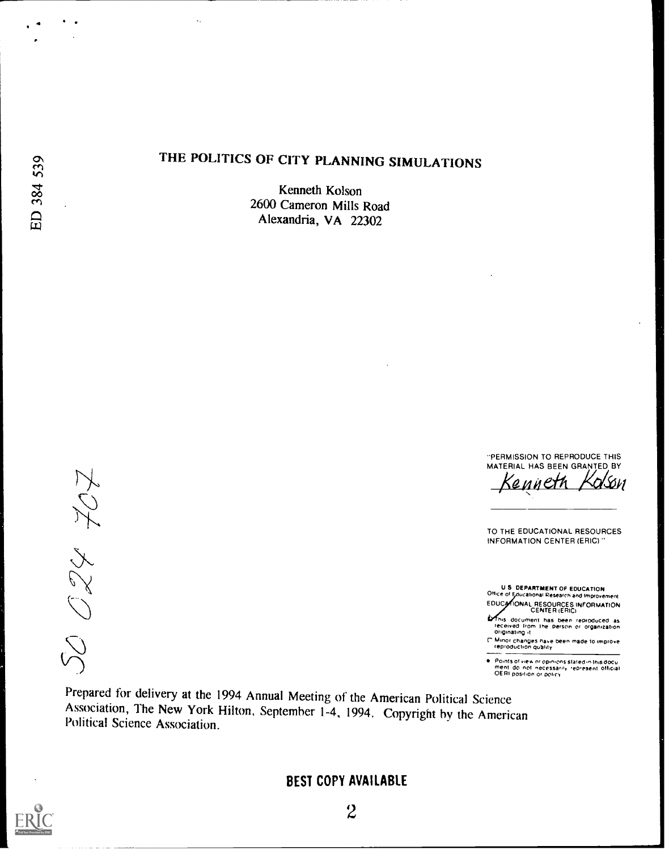4

 $\ddotsc$ 

## THE POLITICS OF CITY PLANNING SIMULATIONS

Kenneth Kolson 2600 Cameron Mills Road Alexandria, VA 22302

50 024 707

-PERMISSION TO REPRODUCE THIS MATERIAL HAS BEEN GRANTED BY

Kenneth Kolson

TO THE EDUCATIONAL RESOURCES INFORMATION CENTER (ERIC)"

U S DEPARTMENT OF EDUCATION Office of Educational Research and Improvement EDUCATIONAL RESOURCES INFORMATION<br>CENTER (ERIC)

This document has been reproduced as<br>received from the person or organization<br>Originating it

r Minor changes have been made to Im prove reproduction quality

Points of view or opinions stated in this docu<br>ment: do: not: necessarily: represent: official<br>OERI position or policy

Prepared for delivery at the 1994 Annual Meeting of the American Political Science Association, The New York Hilton, September 1-4, 1994. Copyright by the American Political Science Association.

BEST COPY AVAILABLE

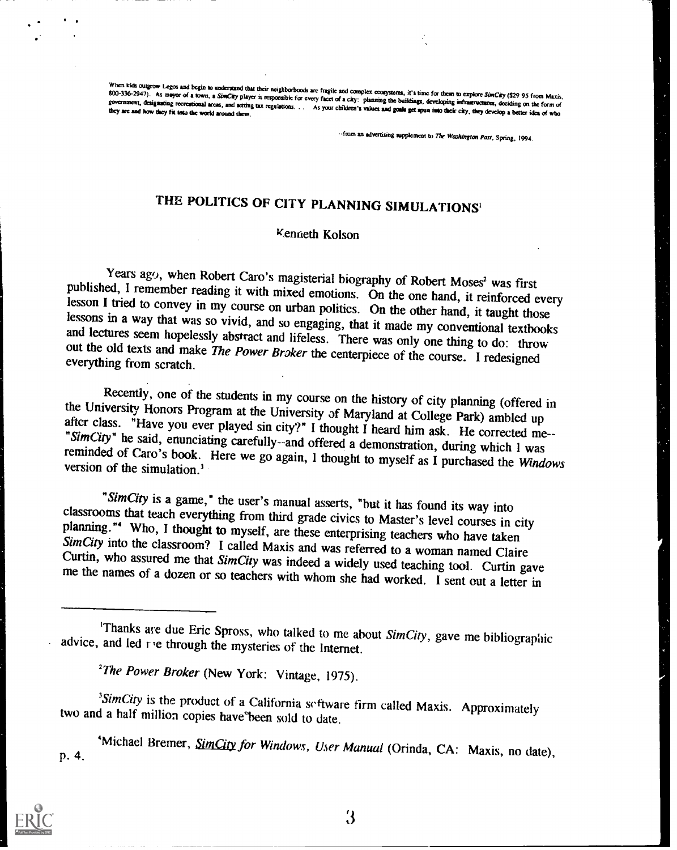When kids outgrow Legos and begin to understand that their neighborboods are fragile and complex consystems, it's time for them to explore SImClay (\$29 95 from Maxis, 800-336-2947). As mayor of a town, a SimClay player is

-.from an advertising supplement to The Washington Past, Spring, 1944.

# THE POLITICS OF CITY PLANNING SIMULATIONS'

### Kentieth Kolson

Years ago, when Robert Caro's magisterial biography of Robert Moses<sup>2</sup> was first published, I remember reading it with mixed emotions. On the one hand, it reinforced every lesson I tried to convey in my course on urban pol

Recently, one of the students in my course on the history of city planning (offered in<br>the University Honors Program at the University of Maryland at College Park) ambled up<br>after class. "Have you ever played sin city?" I

"SimCity is a game," the user's manual asserts, "but it has found its way into<br>classrooms that teach everything from third grade civics to Master's level courses in city<br>planning."<sup>4</sup> Who, I thought to myself, are these e

'Michael Bremer, SimCity for Windows, User Manual (Orinda, CA: Maxis, no date), p. 4.



 $\mathbf{3}$ 

<sup>&#</sup>x27;Thanks are due Eric Spross, who talked to me about SimCity, gave me bibliographic advice, and led  $r$  e through the mysteries of the Internet.

<sup>&</sup>lt;sup>2</sup>The Power Broker (New York: Vintage, 1975).

<sup>&</sup>lt;sup>3</sup>SimCity is the product of a California software firm called Maxis. Approximately two and a half million copies have been sold to date.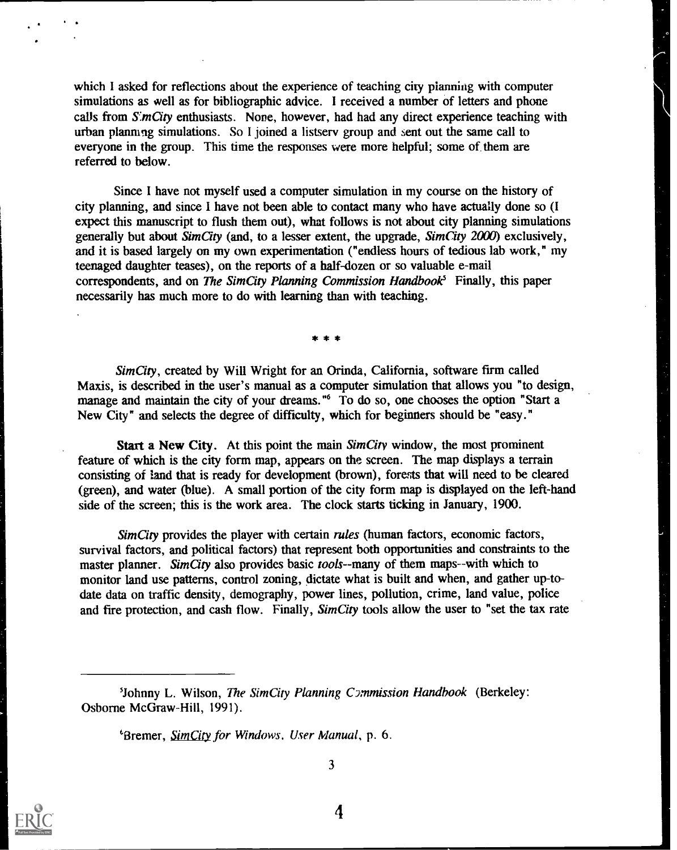which I asked for reflections about the experience of teaching city planning with computer simulations as well as for bibliographic advice. I received a number of letters and phone calls from  $S<sub>i</sub>mCity$  enthusiasts. None, however, had had any direct experience teaching with urban planning simulations. So I joined a listsery group and sent out the same call to everyone in the group. This time the responses were more helpful; some of them are referred to below.

Since I have not myself used a computer simulation in my course on the history of city planning, and since I have not been able to contact many who have actually done so (I expect this manuscript to flush them out), what follows is not about city planning simulations generally but about  $SimCity$  (and, to a lesser extent, the upgrade,  $SimCity$  2000) exclusively, and it is based largely on my own experimentation ("endless hours of tedious lab work," my teenaged daughter teases), on the reports of a half-dozen or so valuable e-mail correspondents, and on The Sim City Planning Commission Handbook<sup>5</sup> Finally, this paper necessarily has much more to do with learning than with teaching.

\* \* \*

Sim City, created by Will Wright for an Orinda, California, software firm called Maxis, is described in the user's manual as a computer simulation that allows you "to design, manage and maintain the city of your dreams."<sup>6</sup> To do so, one chooses the option "Start a New City" and selects the degree of difficulty, which for beginners should be "easy."

Start a New City. At this point the main SimCity window, the most prominent feature of which is the city form map, appears on the screen. The map displays a terrain consisting of Land that is ready for development (brown), forests that will need to be cleared (green), and water (blue). A small portion of the city form map is displayed on the left -hand side of the screen; this is the work area. The clock starts ticking in January, 1900.

Sim City provides the player with certain rules (human factors, economic factors, survival factors, and political factors) that represent both opportunities and constraints to the master planner. Sim City also provides basic tools--many of them maps--with which to monitor land use patterns, control zoning, dictate what is built and when, and gather up-todate data on traffic density, demography, power lines, pollution, crime, land value, police and fire protection, and cash flow. Finally, SimCity tools allow the user to "set the tax rate

*'Bremer, SimCity for Windows. User Manual, p. 6.* 



3

<sup>&#</sup>x27;Johnny L. Wilson, The SimCity Planning Commission Handbook (Berkeley: Osborne McGraw-Hill, 1991).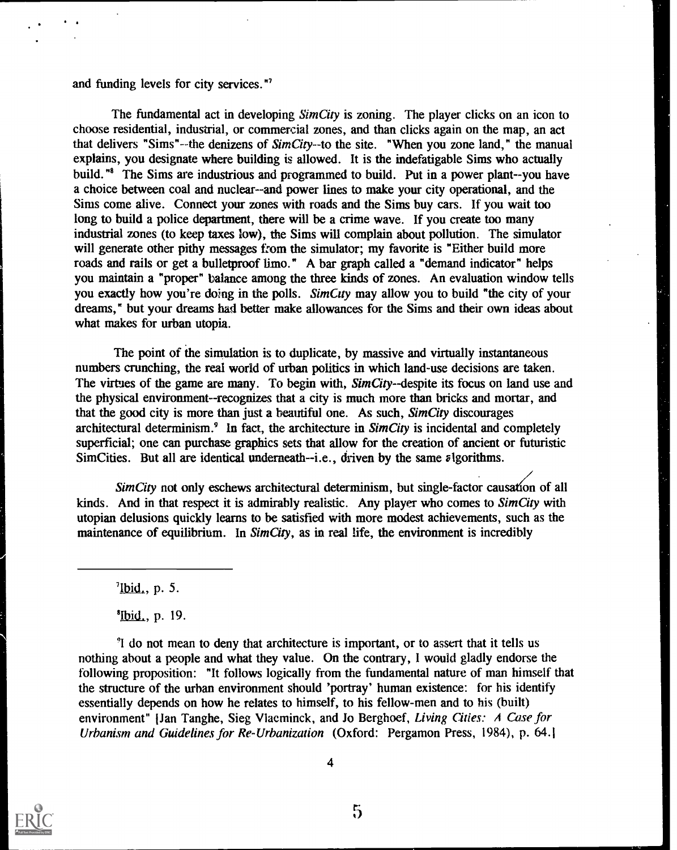and funding levels for city services."'

The fundamental act in developing *SimCity* is zoning. The player clicks on an icon to choose residential, industrial, or commercial zones, and than clicks again on the map, an act that delivers "Sims"--the denizens of SimCity--to the site. "When you zone land," the manual explains, you designate where building is allowed. It is the indefatigable Sims who actually build."<sup>8</sup> The Sims are industrious and programmed to build. Put in a power plant--you have a choice between coal and nuclear--and power lines to make your city operational, and the Sims come alive. Connect your zones with roads and the Sims buy cars. If you wait too long to build a police department, there will be a crime wave. If you create too many industrial zones (to keep taxes low), the Sims will complain about pollution. The simulator will generate other pithy messages from the simulator; my favorite is "Either build more roads and rails or get a bulletproof limo." A bar graph called a "demand indicator" helps you maintain a "proper" balance among the three kinds of zones. An evaluation window tells you exactly how you're doing in the polls. SimCity may allow you to build "the city of your dreams," but your dreams had better make allowances for the Sims and their own ideas about what makes for urban utopia.

The point of the simulation is to duplicate, by massive and virtually instantaneous numbers crunching, the real world of urban politics in which land-use decisions are taken. The virtues of the game are many. To begin with, SimCity--despite its focus on land use and the physical environment--recognizes that a city is much more than bricks and mortar, and that the good city is more than just a beautiful one. As such,  $SimCity$  discourages architectural determinism. $\delta$  In fact, the architecture in *SimCity* is incidental and completely superficial; one can purchase graphics sets that allow for the creation of ancient or futuristic Sim Cities. But all are identical underneath--i.e., driven by the same algorithms.

SimCity not only eschews architectural determinism, but single-factor causation of all kinds. And in that respect it is admirably realistic. Any player who comes to SimCity with utopian delusions quickly learns to be satisfied with more modest achievements, such as the maintenance of equilibrium. In SimCity, as in real life, the environment is incredibly

 $\frac{7}{1}$ lbid., p. 5.

 $^{8}$ [bid., p. 19.

'I do not mean to deny that architecture is important, or to assert that it tells us nothing about a people and what they value. On the contrary, 1 would gladly endorse the following proposition: "It follows logically from the fundamental nature of man himself that the structure of the urban environment should 'portray' human existence: for his identify essentially depends on how he relates to himself, to his fellow-men and to his (built) environment" [Jan Tanghe, Sieg Vlaeminck, and Jo Berghoef, Living Cities: A Case for Urbanism and Guidelines for Re-Urbanization (Oxford: Pergamon Press, 1984), p. 64.

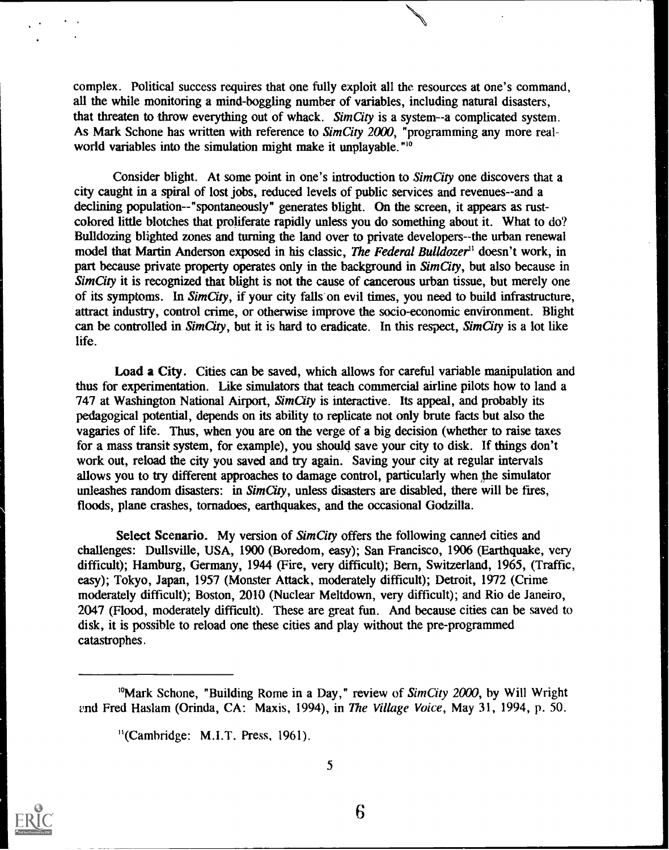complex. Political success requires that one fully exploit all the resources at one's command, all the while monitoring a mind-boggling number of variables, including natural disasters, that threaten to throw everything out of whack. SimCity is a system--a complicated system. As Mark Schone has written with reference to SimCity 2000, "programming any more realworld variables into the simulation might make it unplayable."<sup>10</sup>

Consider blight. At some point in one's introduction to *SimCity* one discovers that a city caught in a spiral of lost jobs, reduced levels of public services and revenues--and a declining population--"spontaneously" generates blight. On the screen, it appears as rustcolored little blotches that proliferate rapidly unless you do something about it. What to do? Bulldozing blighted zones and turning the land over to private developers--the urban renewal model that Martin Anderson exposed in his classic, The Federal Bulldozer" doesn't work, in part because private property operates only in the background in SimCity, but also because in Sim City it is recognized that blight is not the cause of cancerous urban tissue, but merely one of its symptoms. In Sim City, if your city falls on evil times, you need to build infrastructure, attract industry, control crime, or otherwise improve the socio-economic environment. Blight can be controlled in  $SimCity$ , but it is hard to eradicate. In this respect,  $SimCity$  is a lot like life.

Load a City. Cities can be saved, which allows for careful variable manipulation and thus for experimentation. Like simulators that teach commercial airline pilots how to land a 747 at Washington National Airport, Sim City is interactive. Its appeal, and probably its pedagogical potential, depends on its ability to replicate not only brute facts but also the vagaries of life. Thus, when you are on the verge of a big decision (whether to raise taxes for a mass transit system, for example), you should save your city to disk. If things don't work out, reload the city you saved and try again. Saving your city at regular intervals allows you to try different approaches to damage control, particularly when the simulator unleashes random disasters: in SimCity, unless disasters are disabled, there will be fires, floods, plane crashes, tornadoes, earthquakes, and the occasional Godzilla.

Select Scenario. My version of SimCity offers the following canned cities and challenges: Dullsville, USA, 1900 (Boredom, easy); San Francisco, 1906 (Earthquake, very difficult); Hamburg, Germany, 1944 (Fire, very difficult); Bern, Switzerland, 1965, (Traffic, easy); Tokyo, Japan, 1957 (Monster Attack, moderately difficult); Detroit, 1972 (Crime moderately difficult); Boston, 2010 (Nuclear Meltdown, very difficult); and Rio de Janeiro, 2047 (Flood, moderately difficult). These are great fun. And because cities can be saved to disk, it is possible to reload one these cities and play without the pre-programmed catastrophes.



5

<sup>&</sup>lt;sup>10</sup>Mark Schone, "Building Rome in a Day," review of  $SimCity$  2000, by Will Wright and Fred Haslam (Orinda, CA: Maxis, 1994), in The Village Voice, May 31, 1994, p. 50.

<sup>&</sup>quot;(Cambridge: M.I.T. Press, 1961).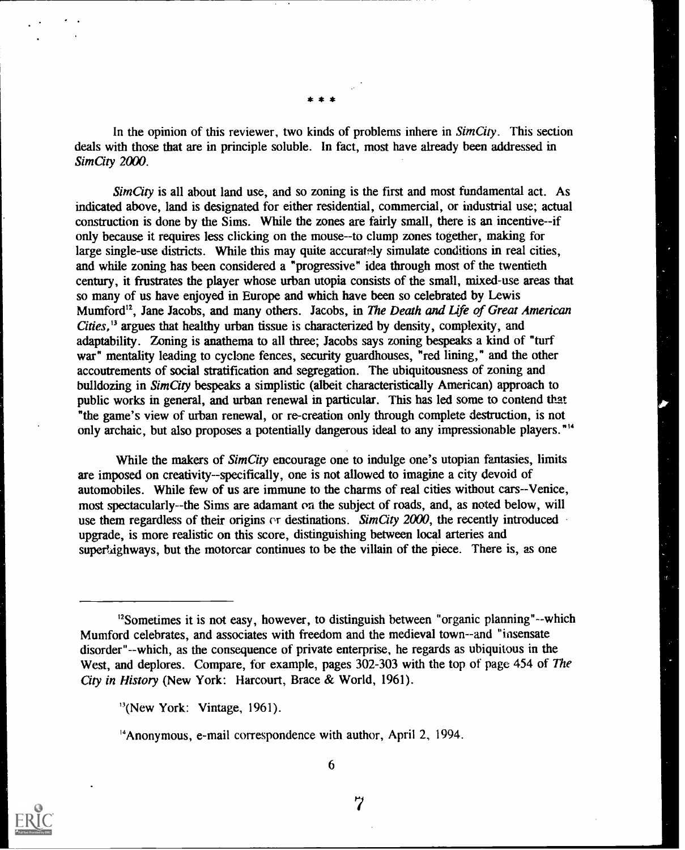\* \* \*

In the opinion of this reviewer, two kinds of problems inhere in  $SimCity$ . This section deals with those that are in principle soluble. In fact, most have already been addressed in SimCity 2000.

 $SimCity$  is all about land use, and so zoning is the first and most fundamental act. As indicated above, land is designated for either residential, commercial, or industrial use; actual construction is done by the Sims. While the zones are fairly small, there is an incentive--if only because it requires less clicking on the mouse--to clump zones together, making for large single-use districts. While this may quite accurately simulate conditions in real cities, and while zoning has been considered a "progressive" idea through most of the twentieth century, it frustrates the player whose urban utopia consists of the small, mixed-use areas that so many of us have enjoyed in Europe and which have been so celebrated by Lewis Mumford<sup>12</sup>, Jane Jacobs, and many others. Jacobs, in The Death and Life of Great American Cities,  $13$  argues that healthy urban tissue is characterized by density, complexity, and adaptability. Zoning is anathema to all three; Jacobs says zoning bespeaks a kind of "turf war" mentality leading to cyclone fences, security guardhouses, "red lining," and the other accoutrements of social stratification and segregation. The ubiquitousness of zoning and bulldozing in SimCity bespeaks a simplistic (albeit characteristically American) approach to public works in general, and urban renewal in particular. This has led some to contend that "the game's view of urban renewal, or re-creation only through complete destruction, is not only archaic, but also proposes a potentially dangerous ideal to any impressionable players.<sup>"14</sup>

While the makers of SimCity encourage one to indulge one's utopian fantasies, limits are imposed on creativity--specifically, one is not allowed to imagine a city devoid of automobiles. While few of us are immune to the charms of real cities without cars--Venice, most spectacularly--the Sims are adamant on the subject of roads, and, as noted below, will use them regardless of their origins or destinations. SimCity 2000, the recently introduced upgrade, is more realistic on this score, distinguishing between local arteries and supertighways, but the motorcar continues to be the villain of the piece. There is, as one



6

<sup>&</sup>lt;sup>12</sup>Sometimes it is not easy, however, to distinguish between "organic planning"--which Mumford celebrates, and associates with freedom and the medieval town--and "insensate disorder"--which, as the consequence of private enterprise, he regards as ubiquitous in the West, and deplores. Compare, for example, pages 302-303 with the top of page 454 of The City in History (New York: Harcourt, Brace & World, 1961).

<sup>&</sup>quot;(New York: Vintage, 1961).

<sup>&</sup>quot;Anonymous, e-mail correspondence with author, April 2, 1994.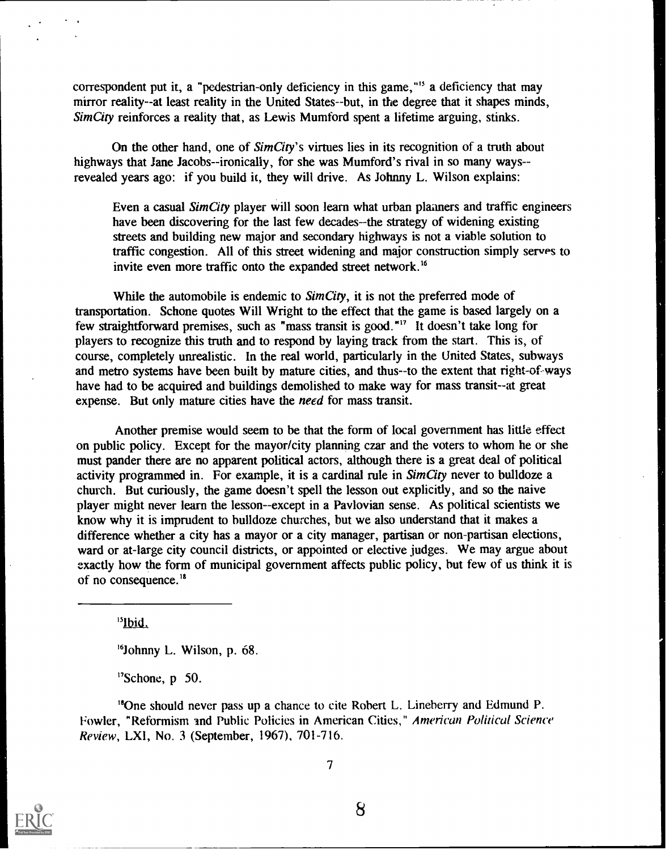correspondent put it, a "pedestrian-only deficiency in this game,"<sup>15</sup> a deficiency that may mirror reality--at least reality in the United States--but, in the degree that it shapes minds, Sim City reinforces a reality that, as Lewis Mumford spent a lifetime arguing, stinks.

On the other hand, one of SimCity's virtues lies in its recognition of a truth about highways that Jane Jacobs--ironically, for she was Mumford's rival in so many ways-revealed years ago: if you build it, they will drive. As Johnny L. Wilson explains:

Even a casual Sim City player will soon learn what urban planners and traffic engineers have been discovering for the last few decades--the strategy of widening existing streets and building new major and secondary highways is not a viable solution to traffic congestion. All of this street widening and major construction simply serves to invite even more traffic onto the expanded street network.'

While the automobile is endemic to *SimCity*, it is not the preferred mode of transportation. Schone quotes Will Wright to the effect that the game is based largely on a few straightforward premises, such as "mass transit is good."<sup>17</sup> It doesn't take long for players to recognize this truth and to respond by laying track from the start. This is, of course, completely unrealistic. In the real world, particularly in the United States, subways and metro systems have been built by mature cities, and thus--to the extent that right-of-ways have had to be acquired and buildings demolished to make way for mass transit--at great expense. But only mature cities have the need for mass transit.

Another premise would seem to be that the form of local government has little effect on public policy. Except for the mayor/city planning czar and the voters to whom he or she must pander there are no apparent political actors, although there is a great deal of political activity programmed in. For example, it is a cardinal rule in  $SimCity$  never to bulldoze a church. But curiously, the game doesn't spell the lesson out explicitly, and so the naive player might never learn the lesson--except in a Pavlovian sense. As political scientists we know why it is imprudent to bulldoze churches, but we also understand that it makes a difference whether a city has a mayor or a city manager, partisan or non-partisan elections, ward or at-large city council districts, or appointed or elective judges. We may argue about exactly how the form of municipal government affects public policy, but few of us think it is of no consequence.<sup>18</sup>

"Ibid,

'Johnny L. Wilson, p. 68.

"Schone, p 50.

"'One should never pass up a chance to cite Robert L. Lineberry and Edmund P. Fowler, "Reformism and Public Policies in American Cities," American Political Science Review, LXI, No. 3 (September, 1967), 701-716.



7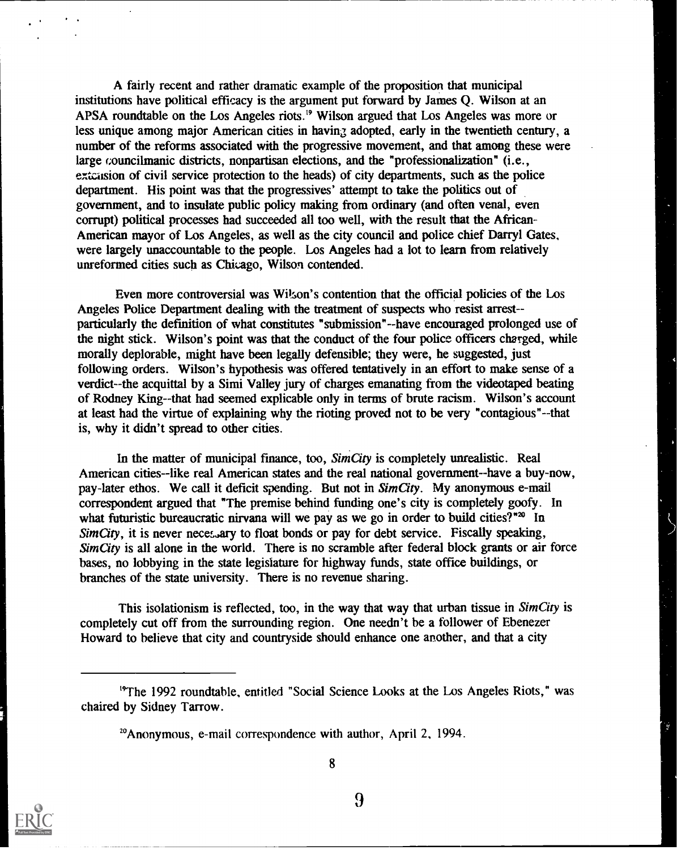A fairly recent and rather dramatic example of the proposition that municipal institutions have political efficacy is the argument put forward by James Q. Wilson at an APSA roundtable on the Los Angeles riots.<sup>19</sup> Wilson argued that Los Angeles was more or less unique among major American cities in having adopted, early in the twentieth century, a number of the reforms associated with the progressive movement, and that among these were large councilmanic districts, nonpartisan elections, and the "professionalization" (i.e., execution of civil service protection to the heads) of city departments, such as the police department. His point was that the progressives' attempt to take the politics out of government, and to insulate public policy making from ordinary (and often venal, even corrupt) political processes had succeeded all too well, with the result that the African-American mayor of Los Angeles, as well as the city council and police chief Darryl Gates, were largely unaccountable to the people. Los Angeles had a lot to learn from relatively unreformed cities such as Chicago, Wilson contended.

Even more controversial was Wilson's contention that the official policies of the Los Angeles Police Department dealing with the treatment of suspects who resist arrest- particularly the definition of what constitutes "submission"--have encouraged prolonged use of the night stick. Wilson's point was that the conduct of the four police officers charged, while morally deplorable, might have been legally defensible; they were, he suggested, just following orders. Wilson's hypothesis was offered tentatively in an effort to make sense of a verdict--the acquittal by a Simi Valley jury of charges emanating from the videotaped beating of Rodney King--that had seemed explicable only in terms of brute racism. Wilson's account at least had the virtue of explaining why the rioting proved not to be very "contagious"--that is, why it didn't spread to other cities.

In the matter of municipal finance, too, SimCity is completely unrealistic. Real American cities--like real American states and the real national government--have a buy-now, pay-later ethos. We call it deficit spending. But not in SimCity. My anonymous e-mail correspondent argued that "The premise behind funding one's city is completely goofy. In what futuristic bureaucratic nirvana will we pay as we go in order to build cities?"<sup>20</sup> In Sim City, it is never necessary to float bonds or pay for debt service. Fiscally speaking, Sim City is all alone in the world. There is no scramble after federal block grants or air force bases, no lobbying in the state legislature for highway funds, state office buildings, or branches of the state university. There is no revenue sharing.

This isolationism is reflected, too, in the way that way that urban tissue in  $SimCity$  is completely cut off from the surrounding region. One needn't be a follower of Ebenezer Howard to believe that city and countryside should enhance one another, and that a city



8

<sup>&</sup>quot;The 1992 roundtable, entitled "Social Science Looks at the Los Angeles Riots," was chaired by Sidney Tarrow.

<sup>&#</sup>x27;Anonymous, e-mail correspondence with author, April 2, 1994.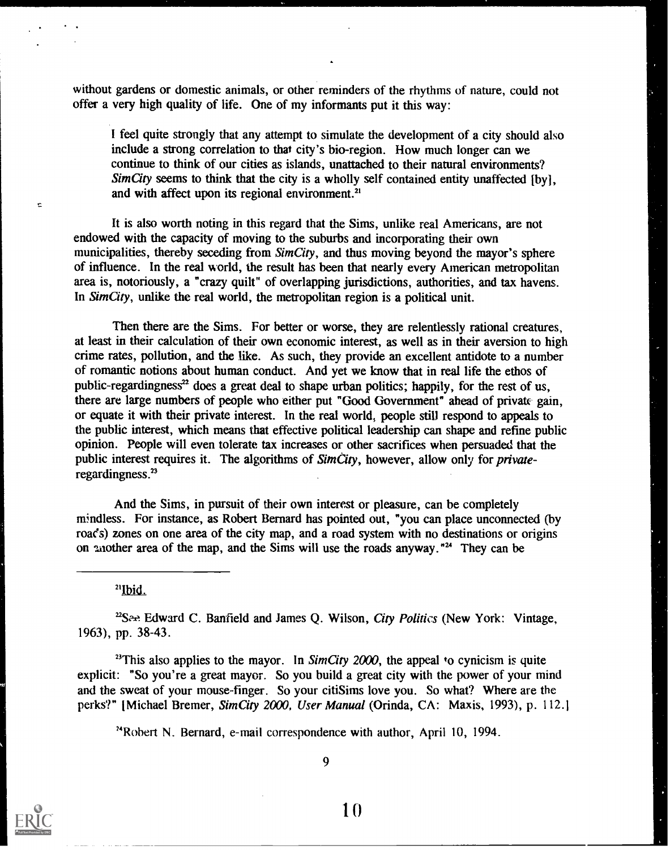without gardens or domestic animals, or other reminders of the rhythms of nature, could not offer a very high quality of life. One of my informants put it this way:

I feel quite strongly that any attempt to simulate the development of a city should also include a strong correlation to that city's bio-region. How much longer can we continue to think of our cities as islands, unattached to their natural environments? Sim City seems to think that the city is a wholly self contained entity unaffected  $[by]$ , and with affect upon its regional environment.<sup>21</sup>

It is also worth noting in this regard that the Sims, unlike real Americans, are not endowed with the capacity of moving to the suburbs and incorporating their own municipalities, thereby seceding from SimCity, and thus moving beyond the mayor's sphere of influence. In the real world, the result has been that nearly every American metropolitan area is, notoriously, a "crazy quilt" of overlapping jurisdictions, authorities, and tax havens. In  $SimCity$ , unlike the real world, the metropolitan region is a political unit.

Then there are the Sims. For better or worse, they are relentlessly rational creatures, at least in their calculation of their own economic interest, as well as in their aversion to high crime rates, pollution, and the like. As such, they provide an excellent antidote to a number of romantic notions about human conduct. And yet we know that in real life the ethos of public-regardingness<sup>22</sup> does a great deal to shape urban politics; happily, for the rest of us, there are large numbers of people who either put "Good Government" ahead of private gain, or equate it with their private interest. In the real world, people still respond to appeals to the public interest, which means that effective political leadership can shape and refine public opinion. People will even tolerate tax increases or other sacrifices when persuaded that the public interest requires it. The algorithms of SimCity, however, allow only for privateregardingness.<sup>23</sup>

And the Sims, in pursuit of their own interest or pleasure, can be completely mindless. For instance, as Robert Bernard has pointed out, "you can place unconnected (by roads) zones on one area of the city map, and a road system with no destinations or origins on another area of the map, and the Sims will use the roads anyway."<sup>24</sup> They can be

<sup>21</sup>Ibid.

<sup>22</sup>See Edward C. Banfield and James Q. Wilson, City Politics (New York: Vintage, 1963), pp. 38-43.

<sup>23</sup>This also applies to the mayor. In SimCity 2000, the appeal to cynicism is quite explicit: "So you're a great mayor. So you build a great city with the power of your mind and the sweat of your mouse-finger. So your citiSims love you. So what? Where are the perks?" [Michael Bremer, SimCity 2000, User Manual (Orinda, CA: Maxis, 1993), p. 112.]

"Rohert N. Bernard, e-mail correspondence with author, April 10, 1994.

ċ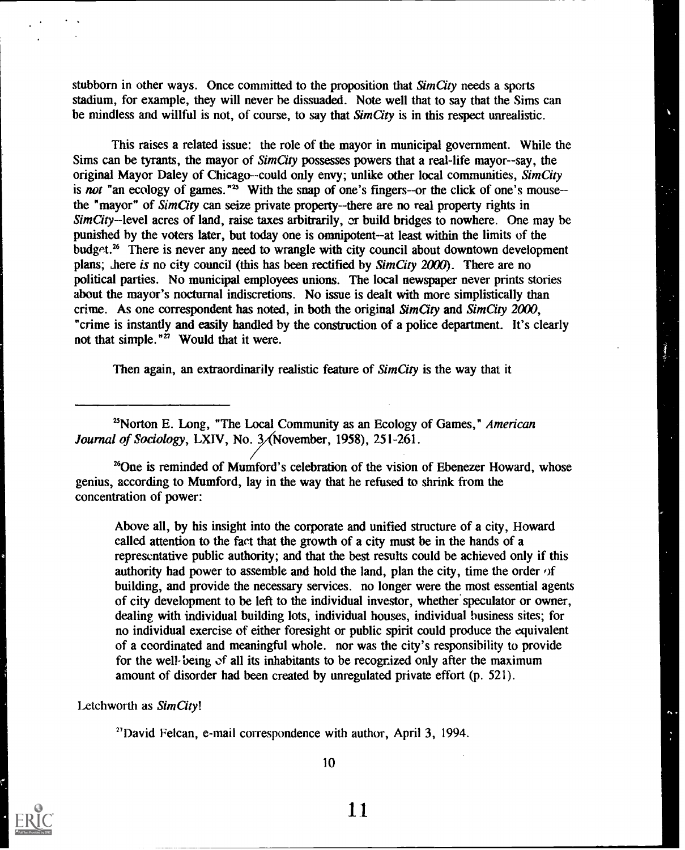stubborn in other ways. Once committed to the proposition that SimCity needs a sports stadium, for example, they will never be dissuaded. Note well that to say that the Sims can be mindless and willful is not, of course, to say that SimCity is in this respect unrealistic.

This raises a related issue: the role of the mayor in municipal government. While the Sims can be tyrants, the mayor of SimCity possesses powers that a real-life mayor--say, the original Mayor Daley of Chicago--could only envy; unlike other local communities, SimCity is not "an ecology of games."<sup>25</sup> With the snap of one's fingers--or the click of one's mouse-the "mayor" of SimCity can seize private property--there are no real property rights in  $SimCity$ -level acres of land, raise taxes arbitrarily, or build bridges to nowhere. One may be punished by the voters later, but today one is omnipotent--at least within the limits of the budget.<sup>26</sup> There is never any need to wrangle with city council about downtown development plans; there is no city council (this has been rectified by SimCity 2000). There are no political parties. No municipal employees unions. The local newspaper never prints stories about the mayor's nocturnal indiscretions. No issue is dealt with more simplistically than crime. As one correspondent has noted, in both the original SimCity and SimCity 2000, "crime is instantly and easily handled by the construction of a police department. It's clearly not that simple." $\ddot{z}$  Would that it were.

Then again, an extraordinarily realistic feature of SimCity is the way that it

 $25$ Norton E. Long, "The Local Community as an Ecology of Games," American Journal of Sociology, LXIV, No.  $3/$ November, 1958), 251-261.

<sup>26</sup>One is reminded of Mumford's celebration of the vision of Ebenezer Howard, whose genius, according to Mumford, lay in the way that he refused to shrink from the concentration of power:

Above all, by his insight into the corporate and unified structure of a city, Howard called attention to the fact that the growth of a city must be in the hands of a representative public authority; and that the best results could be achieved only if this authority had power to assemble and hold the land, plan the city, time the order  $\alpha$  f building, and provide the necessary services. no longer were the most essential agents of city development to be left to the individual investor, whether' speculator or owner, dealing with individual building lots, individual houses, individual business sites; for no individual exercise of either foresight or public spirit could produce the equivalent of a coordinated and meaningful whole. nor was the city's responsibility to provide for the well-being of all its inhabitants to be recognized only after the maximum amount of disorder had been created by unregulated private effort (p. 521).

Letchworth as SimCity!

"David Felcan, e-mail correspondence with author, April 3, 1994.

10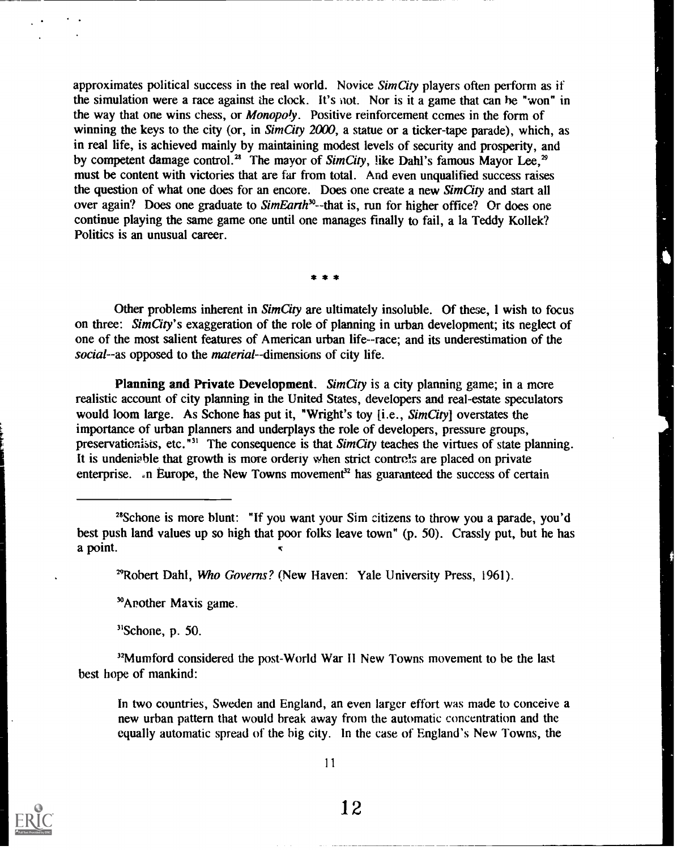approximates political success in the real world. Novice SimCity players often perform as if the simulation were a race against the clock. It's not. Nor is it a game that can be "won" in the way that one wins chess, or *Monopoly*. Positive reinforcement comes in the form of winning the keys to the city (or, in  $SimCity$  2000, a statue or a ticker-tape parade), which, as in real life, is achieved mainly by maintaining modest levels of security and prosperity, and by competent damage control.<sup>28</sup> The mayor of SimCity, like Dahl's famous Mayor Lee,<sup>29</sup> must be content with victories that are far from total. And even unqualified success raises the question of what one does for an encore. Does one create a new SimCity and start all over again? Does one graduate to  $SimEarth^{30}$ --that is, run for higher office? Or does one continue playing the same game one until one manages finally to fail, a la Teddy Kollek? Politics is an unusual career.

\* \* \*

Other problems inherent in *SimCity* are ultimately insoluble. Of these, I wish to focus on three: Sim City's exaggeration of the role of planning in urban development; its neglect of one of the most salient features of American urban life--race; and its underestimation of the social--as opposed to the *material*--dimensions of city life.

Planning and Private Development. Sim City is a city planning game; in a more realistic account of city planning in the United States, developers and real-estate speculators would loom large. As Schone has put it, "Wright's toy [i.e., SimCity] overstates the importance of urban planners and underplays the role of developers, pressure groups, preservationists, etc. $^{\frac{1}{1}31}$  The consequence is that SimCity teaches the virtues of state planning. It is undeniable that growth is more orderly when strict controls are placed on private enterprise.  $\Box$ n Europe, the New Towns movement<sup>32</sup> has guaranteed the success of certain

<sup>29</sup>Robert Dahl, Who Governs? (New Haven: Yale University Press, 1961).

'Another Maxis game.

 $31$ Schone, p. 50.

<sup>32</sup>Mumford considered the post-World War II New Towns movement to be the last best hope of mankind:

In two countries, Sweden and England, an even larger effort was made to conceive a new urban pattern that would break away from the automatic concentration and the equally automatic spread of the big city. In the case of England's New Towns, the



<sup>&</sup>quot;Schone is more blunt: "If you want your Sim citizens to throw you a parade, you'd best push land values up so high that poor folks leave town" (p. 50). Crassly put, but he has a point.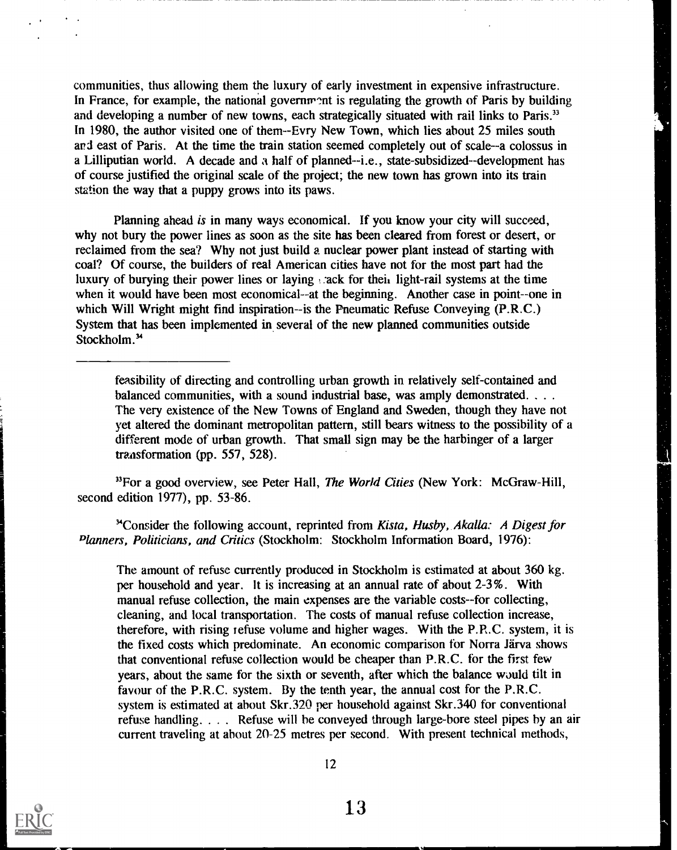communities, thus allowing them the luxury of early investment in expensive infrastructure. In France, for example, the national government is regulating the growth of Paris by building and developing a number of new towns, each strategically situated with rail links to Paris.<sup>33</sup> In 1980, the author visited one of them--Evry New Town, which lies about 25 miles south and east of Paris. At the time the train station seemed completely out of scale--a colossus in a Lilliputian world. A decade and a half of planned--i.e., state-subsidized--development has of course justified the original scale of the project; the new town has grown into its train station the way that a puppy grows into its paws.

Planning ahead is in many ways economical. If you know your city will succeed, why not bury the power lines as soon as the site has been cleared from forest or desert, or reclaimed from the sea? Why not just build a nuclear power plant instead of starting with coal? Of course, the builders of real American cities have not for the most part had the luxury of burying their power lines or laying stack for their light-rail systems at the time when it would have been most economical--at the beginning. Another case in point--one in which Will Wright might find inspiration--is the Pneumatic Refuse Conveying (P.R.C.) System that has been implemented in several of the new planned communities outside Stockholm.<sup>34</sup>

feasibility of directing and controlling urban growth in relatively self-contained and balanced communities, with a sound industrial base, was amply demonstrated. . . . The very existence of the New Towns of England and Sweden, though they have not yet altered the dominant metropolitan pattern, still bears witness to the possibility of a different mode of urban growth. That small sign may be the harbinger of a larger transformation (pp. 557, 528).

 $<sup>33</sup>$  For a good overview, see Peter Hall, The World Cities (New York: McGraw-Hill,</sup> second edition 1977), pp. 53-86.

<sup>3</sup>Consider the following account, reprinted from Kista, Husby, Akalla: A Digest for Planners, Politicians, and Critics (Stockholm: Stockholm Information Board, 1976):

The amount of refuse currently produced in Stockholm is estimated at about 360 kg. per household and year. It is increasing at an annual rate of about 2-3%. With manual refuse collection, the main expenses are the variable costs--for collecting, cleaning, and local transportation. The costs of manual refuse collection increase, therefore, with rising refuse volume and higher wages. With the P.R.C. system, it is the fixed costs which predominate. An economic comparison for Norra Järva shows that conventional refuse collection would be cheaper than P.R.C. for the first few years, about the same for the sixth or seventh, after which the balance would tilt in favour of the P.R.C. system. By the tenth year, the annual cost for the P.R.C. system is estimated at about Skr.320 per household against Skr.340 for conventional refuse handling. . .. Refuse will he conveyed through large-bore steel pipes by an air current traveling at about 20-25 metres per second. With present technical methods,

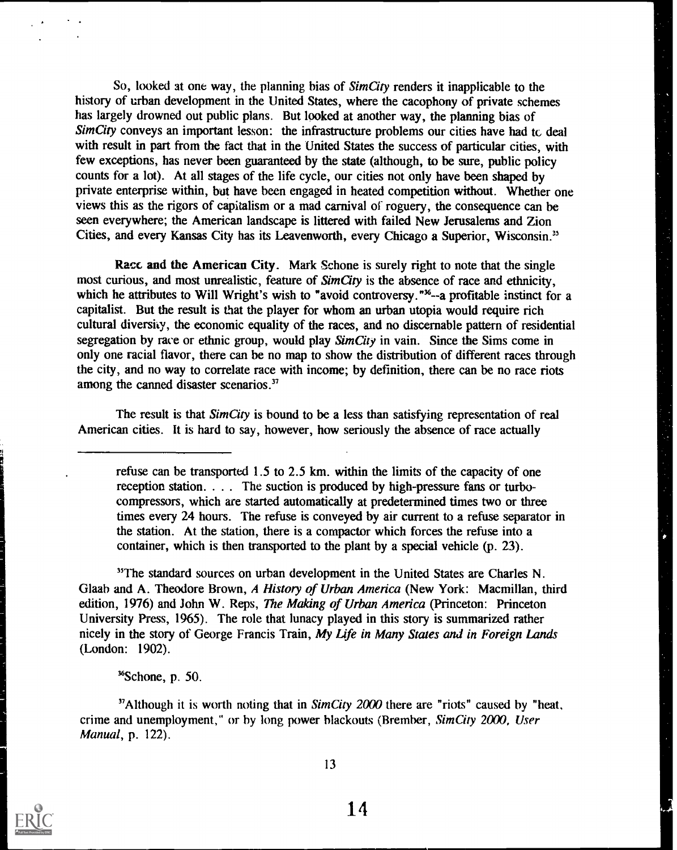So, looked at one way, the planning bias of *SimCity* renders it inapplicable to the history of urban development in the United States, where the cacophony of private schemes has largely drowned out public plans. But looked at another way, the planning bias of Sim City conveys an important lesson: the infrastructure problems our cities have had tc deal with result in part from the fact that in the United States the success of particular cities, with few exceptions, has never been guaranteed by the state (although, to be sure, public policy counts for a lot). At all stages of the life cycle, our cities not only have been shaped by private enterprise within, but have been engaged in heated competition without. Whether one views this as the rigors of capitalism or a mad carnival of roguery, the consequence can be seen everywhere; the American landscape is littered with failed New Jerusalems and Zion Cities, and every Kansas City has its Leavenworth, every Chicago a Superior, Wisconsin."

Racc and the American City. Mark Schone is surely right to note that the single most curious, and most unrealistic, feature of SimCity is the absence of race and ethnicity, which he attributes to Will Wright's wish to "avoid controversy."<sup>36</sup>--a profitable instinct for a capitalist. But the result is that the player for whom an urban utopia would require rich cultural diversity, the economic equality of the races, and no discernable pattern of residential segregation by race or ethnic group, would play SimCity in vain. Since the Sims come in only one racial flavor, there can be no map to show the distribution of different races through the city, and no way to correlate race with income; by definition, there can be no race riots among the canned disaster scenarios.<sup>37</sup>

The result is that Sim City is bound to be a less than satisfying representation of real American cities. It is hard to say, however, how seriously the absence of race actually

refuse can be transported  $1.5$  to  $2.5$  km. within the limits of the capacity of one reception station. . . . The suction is produced by high-pressure fans or turbocompressors, which are started automatically at predetermined times two or three times every 24 hours. The refuse is conveyed by air current to a refuse separator in the station. At the station, there is a compactor which forces the refuse into a container, which is then transported to the plant by a special vehicle (p. 23).

<sup>35</sup>The standard sources on urban development in the United States are Charles N. Glaab and A. Theodore Brown, A History of Urban America (New York: Macmillan, third edition, 1976) and John W. Reps, The Making of Urban America (Princeton: Princeton University Press, 1965). The role that lunacy played in this story is summarized rather nicely in the story of George Francis Train, My Life in Many States and in Foreign Lands (London: 1902).

 $<sup>36</sup>$ Schone, p. 50.</sup>

 $37$ Although it is worth noting that in *SimCity 2000* there are "riots" caused by "heat, crime and unemployment," or by long power blackouts (Brember, SimCity 2000, User Manual, p. 122).



 $\mathcal{L}^{\mathcal{A}}$ 

13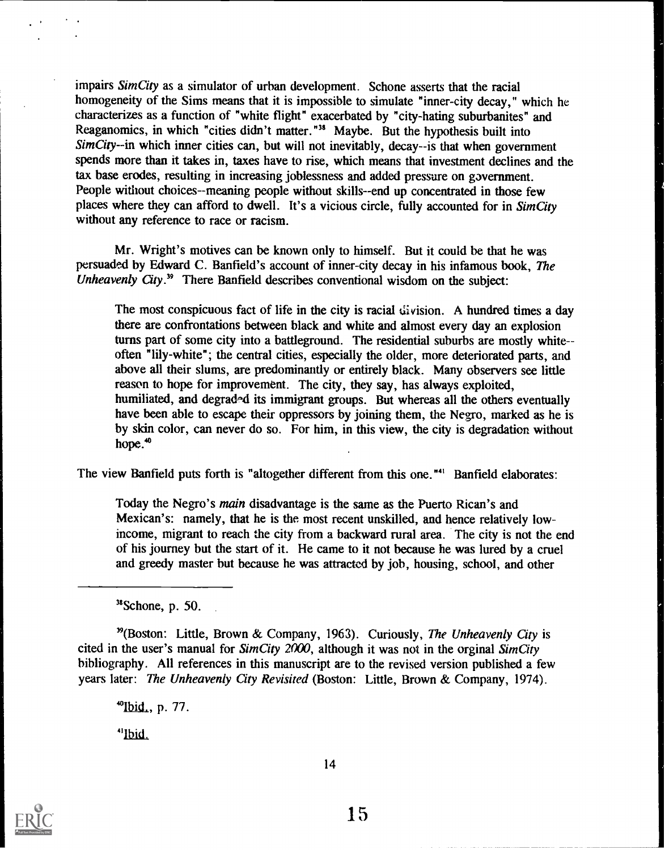impairs Sim City as a simulator of urban development. Schone asserts that the racial homogeneity of the Sims means that it is impossible to simulate "inner-city decay," which he characterizes as a function of "white flight" exacerbated by "city-hating suburbanites" and Reaganomics, in which "cities didn't matter."<sup>38</sup> Maybe. But the hypothesis built into  $SimCity$ -in which inner cities can, but will not inevitably, decay--is that when government spends more than it takes in, taxes have to rise, which means that investment declines and the tax base erodes, resulting in increasing joblessness and added pressure on government. People without choices--meaning people without skills--end up concentrated in those few places where they can afford to dwell. It's a vicious circle, fully accounted for in SimCity without any reference to race or racism.

Mr. Wright's motives can be known only to himself. But it could be that he was persuaded by Edward C. Banfield's account of inner-city decay in his infamous book, The Unheavenly City.<sup>39</sup> There Banfield describes conventional wisdom on the subject:

The most conspicuous fact of life in the city is racial division. A hundred times a day there are confrontations between black and white and almost every day an explosion turns part of some city into a battleground. The residential suburbs are mostly whiteoften "lily-white"; the central cities, especially the older, more deteriorated parts, and above all their slums, are predominantly or entirely black. Many observers see little reason to hope for improvement. The city, they say, has always exploited, humiliated, and degraded its immigrant groups. But whereas all the others eventually have been able to escape their oppressors by joining them, the Negro, marked as he is by skin color, can never do so. For him, in this view, the city is degradation without hope.<sup>40</sup>

The view Banfield puts forth is "altogether different from this one."<sup>41</sup> Banfield elaborates:

Today the Negro's main disadvantage is the same as the Puerto Rican's and Mexican's: namely, that he is the most recent unskilled, and hence relatively lowincome, migrant to reach the city from a backward rural area. The city is not the end of his journey but the start of it. He came to it not because he was lured by a cruel and greedy master but because he was attracted by job, housing, school, and other

 $38$ Schone, p. 50.

 $^{39}$ (Boston: Little, Brown & Company, 1963). Curiously, The Unheavenly City is cited in the user's manual for  $SimCity$  2000, although it was not in the orginal  $SimCity$ bibliography. All references in this manuscript are to the revised version published a few years later: The Unheavenly City Revisited (Boston: Little, Brown & Company, 1974).

<sup>40</sup>Ibid., p. 77.

<sup>41</sup>Jbid.

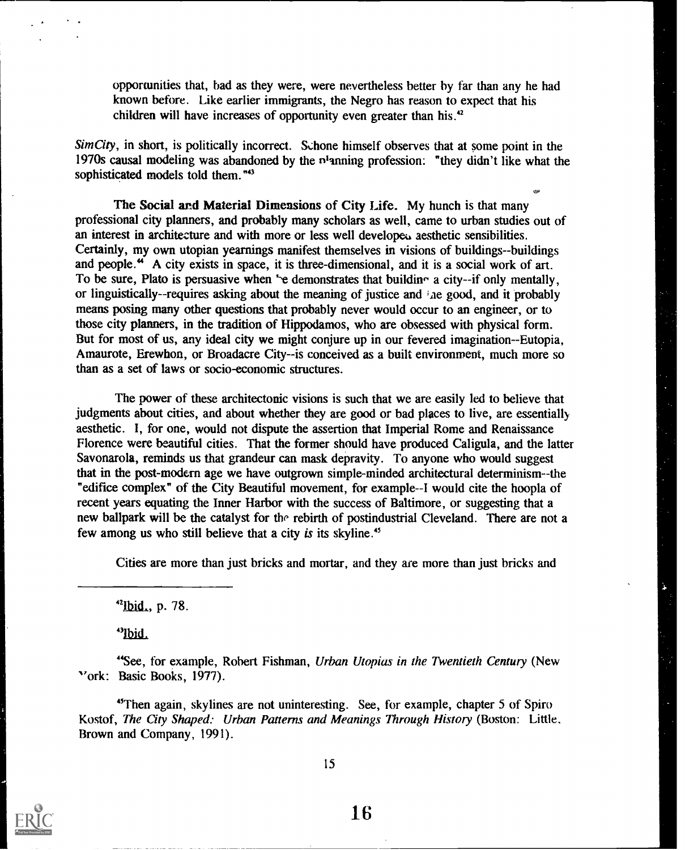opportunities that, had as they were, were nevertheless better by far than any he had known before. Like earlier immigrants, the Negro has reason to expect that his children will have increases of opportunity even greater than his.<sup>42</sup>

دير

 $SimCity$ , in short, is politically incorrect. Schone himself observes that at some point in the 1970s causal modeling was abandoned by the n'amting profession: "they didn't like what the sophisticated models told them."<sup>43</sup>

The Social and Material Dimensions of City Life. My hunch is that many professional city planners, and probably many scholars as well, came to urban studies out of an interest in architecture and with more or less well developen aesthetic sensibilities. Certainly, my own utopian yearnings manifest themselves in visions of buildings--buildings and people." A city exists in space, it is three-dimensional, and it is a social work of art. To be sure, Plato is persuasive when 'e demonstrates that building a city--if only mentally, or linguistically--requires asking about the meaning of justice and  $i$  ae good, and it probably means posing many other questions that probably never would occur to an engineer, or to those city planners, in the tradition of Hippodamos, who are obsessed with physical form. But for most of us, any ideal city we might conjure up in our fevered imagination--Eutopia, Amaurote, Erewhon, or Broadacre City--is conceived as a built environment, much more so than as a set of laws or socio-economic structures.

The power of these architectonic visions is such that we are easily led to believe that judgments about cities, and about whether they are good or bad places to live, are essentially aesthetic. I, for one, would not dispute the assertion that Imperial Rome and Renaissance Florence were beautiful cities. That the former should have produced Caligula, and the latter Savonarola, reminds us that grandeur can mask depravity. To anyone who would suggest that in the post-modern age we have outgrown simple-minded architectural determinism--the "edifice complex" of the City Beautiful movement, for example--I would cite the hoopla of recent years equating the Inner Harbor with the success of Baltimore, or suggesting that a new ballpark will be the catalyst for the rebirth of postindustrial Cleveland. There are not a few among us who still believe that a city is its skyline."

Cities are more than just bricks and mortar, and they are more than just bricks and

 $^{42}$ Ibid., p. 78.

"Ibid.

"See, for example, Robert Fishman, Urban Utopias in the Twentieth Century (New "ork: Basic Books, 1977).

"Then again, skylines are not uninteresting. See, for example, chapter 5 of Spiro Kostof, The City Shaped: Urban Patterns and Meanings Through History (Boston: Little, Brown and Company, 1991).

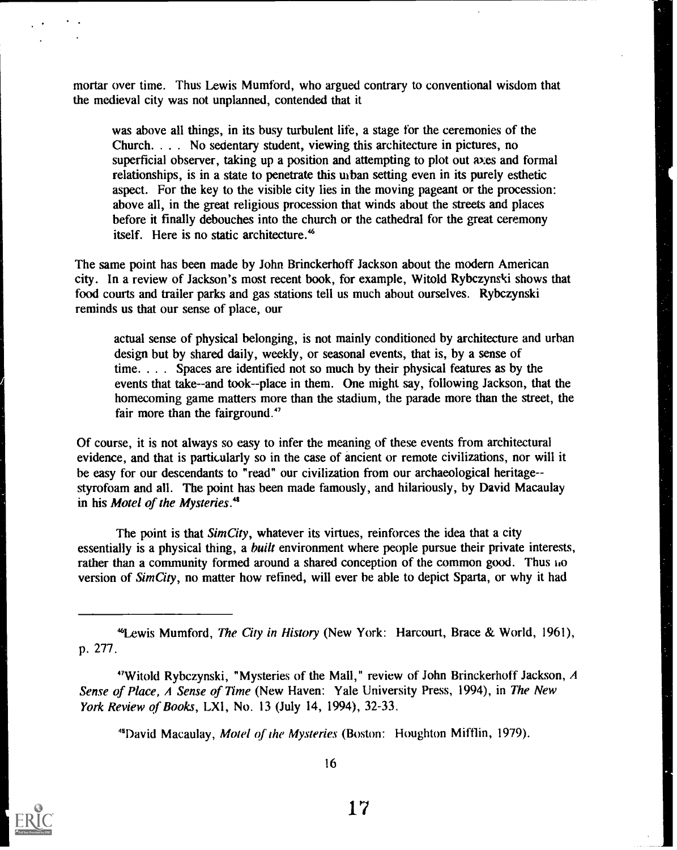mortar over time. Thus Lewis Mumford, who argued contrary to conventional wisdom that the medieval city was not unplanned, contended that it

was above all things, in its busy turbulent life, a stage for the ceremonies of the Church. . . . No sedentary student, viewing this architecture in pictures, no superficial observer, taking up a position and attempting to plot out axes and formal relationships, is in a state to penetrate this urban setting even in its purely esthetic aspect. For the key to the visible city lies in the moving pageant or the procession: above all, in the great religious procession that winds about the streets and places before it finally debouches into the church or the cathedral for the great ceremony itself. Here is no static architecture.'

The same point has been made by John Brinckerhoff Jackson about the modern American city. In a review of Jackson's most recent book, for example, Witold Rybczynski shows that food courts and trailer parks and gas stations tell us much about ourselves. Rybczynski reminds us that our sense of place, our

actual sense of physical belonging, is not mainly conditioned by architecture and urban design but by shared daily, weekly, or seasonal events, that is, by a sense of time. . . . Spaces are identified not so much by their physical features as by the events that take--and took--place in them. One might say, following Jackson, that the homecoming game matters more than the stadium, the parade more than the street, the fair more than the fairground."

Of course, it is not always so easy to infer the meaning of these events from architectural evidence, and that is particularly so in the case of ancient or remote civilizations, nor will it be easy for our descendants to "read" our civilization from our archaeological heritage- styrofoam and all. The point has been made famously, and hilariously, by David Macaulay in his Motel of the Mysteries.<sup>48</sup>

The point is that SimCity, whatever its virtues, reinforces the idea that a city essentially is a physical thing, a *built* environment where people pursue their private interests, rather than a community formed around a shared conception of the common good. Thus ho version of SimCity, no matter how refined, will ever be able to depict Sparta, or why it had

 $48$ David Macaulay, *Motel of the Mysteries* (Boston: Houghton Mifflin, 1979).



<sup>46</sup>Lewis Mumford, The City in History (New York: Harcourt, Brace & World, 1961), p. 277.

<sup>&</sup>quot;Witold Rybczynski, "Mysteries of the Mall," review of John Brinckerhoff Jackson,  $A$ Sense of Place, A Sense of Time (New Haven: Yale University Press, 1994), in The New York Review of Books, LXI, No. 13 (July 14, 1994), 32-33.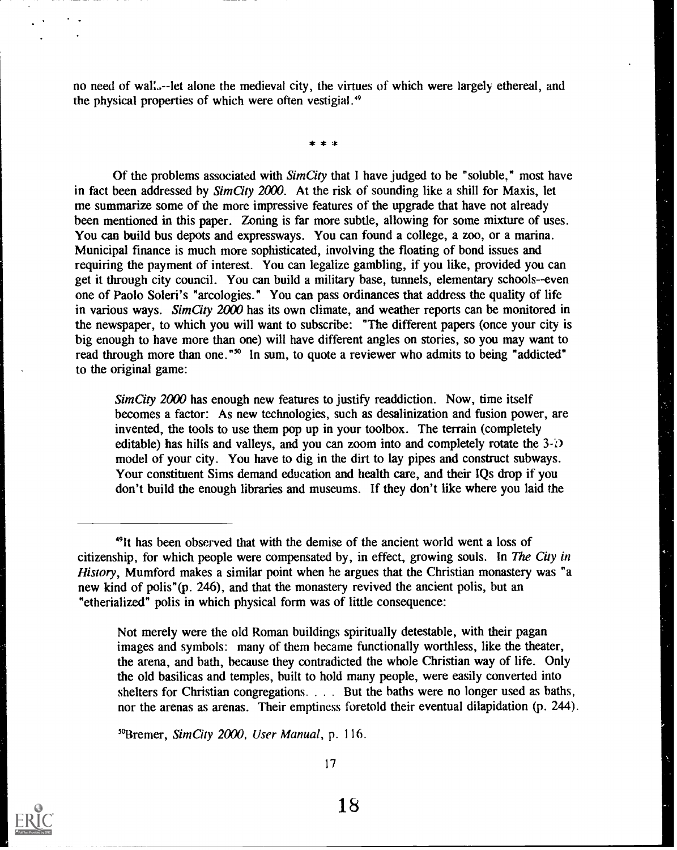no need of wal:.--let alone the medieval city, the virtues of which were largely ethereal, and the physical properties of which were often vestigial."

\* \* \*

Of the problems associated with SimCity that I have judged to be "soluble," most have in fact been addressed by  $SimCity$  2000. At the risk of sounding like a shill for Maxis, let me summarize some of the more impressive features of the upgrade that have not already been mentioned in this paper. Zoning is far more subtle, allowing for some mixture of uses. You can build bus depots and expressways. You can found a college, a zoo, or a marina. Municipal finance is much more sophisticated, involving the floating of bond issues and requiring the payment of interest. You can legalize gambling, if you like, provided you can get it through city council. You can build a military base, tunnels, elementary schools--even one of Paolo Soleri's "arcologies." You can pass ordinances that address the quality of life in various ways. Sim City  $2000$  has its own climate, and weather reports can be monitored in the newspaper, to which you will want to subscribe: "The different papers (once your city is big enough to have more than one) will have different angles on stories, so you may want to read through more than one."<sup>50</sup> In sum, to quote a reviewer who admits to being "addicted" to the original game:

Sim City 2000 has enough new features to justify readdiction. Now, time itself becomes a factor: As new technologies, such as desalinization and fusion power, are invented, the tools to use them pop up in your toolbox. The terrain (completely editable) has hills and valleys, and you can zoom into and completely rotate the  $3-\delta$ model of your city. You have to dig in the dirt to lay pipes and construct subways. Your constituent Sims demand education and health care, and their IQs drop if you don't build the enough libraries and museums. If they don't like where you laid the

Not merely were the old Roman buildings spiritually detestable, with their pagan images and symbols: many of them became functionally worthless, like the theater, the arena, and bath, because they contradicted the whole Christian way of life. Only the old basilicas and temples, built to hold many people, were easily converted into shelters for Christian congregations. . . . But the baths were no longer used as baths, nor the arenas as arenas. Their emptiness foretold their eventual dilapidation (p. 244).

<sup>50</sup>Bremer, SimCity 2000, User Manual, p. 116.



17

<sup>&</sup>quot;It has been observed that with the demise of the ancient world went a loss of citizenship, for which people were compensated by, in effect, growing souls. In The City in History, Mumford makes a similar point when he argues that the Christian monastery was "a new kind of polis"(p. 246), and that the monastery revived the ancient polis, but an "etherialized" polis in which physical form was of little consequence: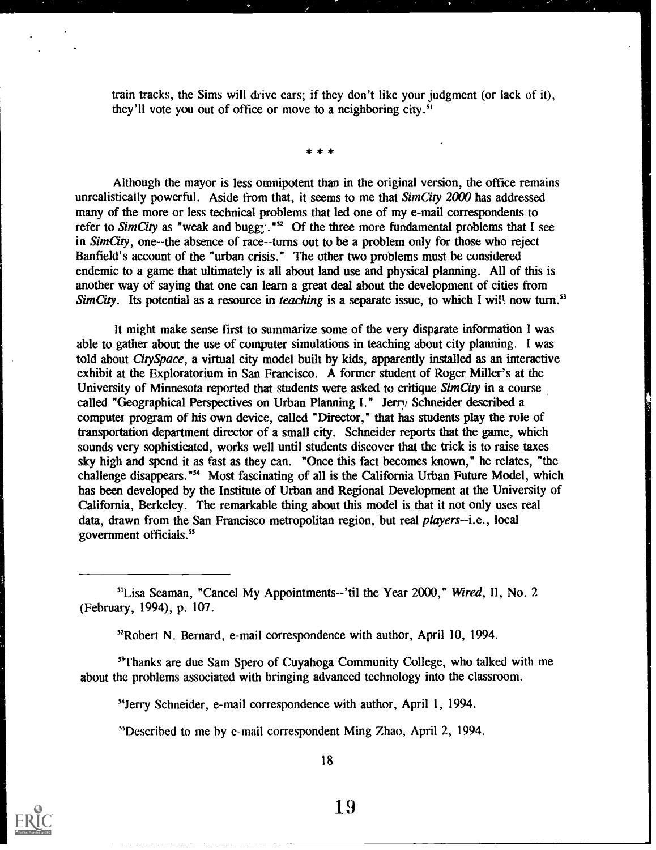train tracks, the Sims will drive cars; if they don't like your judgment (or lack of it), they'll vote you out of office or move to a neighboring city.''

\* \* \*

Although the mayor is less omnipotent than in the original version, the office remains unrealistically powerful. Aside from that, it seems to me that  $SimCity$  2000 has addressed many of the more or less technical problems that led one of my e-mail correspondents to refer to SimCity as "weak and bugg..."<sup>52</sup> Of the three more fundamental problems that I see in  $SimCity$ , one--the absence of race--turns out to be a problem only for those who reject Banfield's account of the "urban crisis." The other two problems must be considered endemic to a game that ultimately is all about land use and physical planning. All of this is another way of saying that one can learn a great deal about the development of cities from Sim City. Its potential as a resource in *teaching* is a separate issue, to which I will now turn.<sup>53</sup>

It might make sense first to summarize some of the very disparate information I was able to gather about the use of computer simulations in teaching about city planning. I was told about City Space, a virtual city model built by kids, apparently installed as an interactive exhibit at the Exploratorium in San Francisco. A former student of Roger Miller's at the University of Minnesota reported that students were asked to critique SimCity in a course called "Geographical Perspectives on Urban Planning I." Jerry Schneider described a computer program of his own device, called "Director," that has students play the role of transportation department director of a small city. Schneider reports that the game, which sounds very sophisticated, works well until students discover that the trick is to raise taxes sky high and spend it as fast as they can. "Once this fact becomes known," he relates, "the challenge disappears."' Most fascinating of all is the California Urban Future Model, which has been developed by the Institute of Urban and Regional Development at the University of California, Berkeley. The remarkable thing about this model is that it not only uses real data, drawn from the San Francisco metropolitan region, but real *players*--i.e., local government officials."

<sup>51</sup>Lisa Seaman, "Cancel My Appointments--'til the Year 2000," Wired, II, No. 2 (February, 1994), p. 107.

<sup>52</sup>Robert N. Bernard, e-mail correspondence with author, April 10, 1994.

"Thanks are due Sam Spero of Cuyahoga Community College, who talked with me about the problems associated with bringing advanced technology into the classroom.

"Jerry Schneider, e-mail correspondence with author, April 1, 1994.

"Described to me by e-mail correspondent Ming Zhao, April 2, 1994.

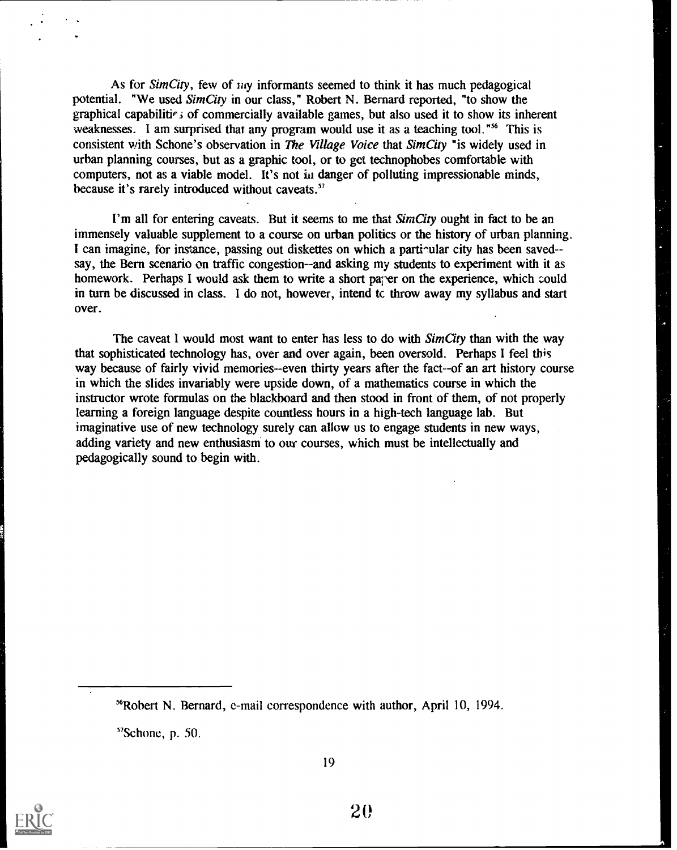As for Sim City, few of  $\mu\nu$  informants seemed to think it has much pedagogical potential. "We used SimCity in our class," Robert N. Bernard reported, "to show the graphical capabilitie is of commercially available games, but also used it to show its inherent weaknesses. I am surprised that any program would use it as a teaching tool."<sup>56</sup> This is consistent with Schone's observation in The Village Voice that SimCity "is widely used in urban planning courses, but as a graphic tool, or to get technophobes comfortable with computers, not as a viable model. It's not in danger of polluting impressionable minds, because it's rarely introduced without caveats.'

I'm all for entering caveats. But it seems to me that SimCity ought in fact to be an immensely valuable supplement to a course on urban politics or the history of urban planning. I can imagine, for instance, passing out diskettes on which a parti-ular city has been saved-say, the Bern scenario on traffic congestion--and asking my students to experiment with it as homework. Perhaps I would ask them to write a short parer on the experience, which could in turn be discussed in class. I do not, however, intend tc throw away my syllabus and start over.

The caveat I would most want to enter has less to do with SimCity than with the way that sophisticated technology has, over and over again, been oversold. Perhaps I feel this way because of fairly vivid memories--even thirty years after the fact--of an art history course in which the slides invariably were upside down, of a mathematics course in which the instructor wrote formulas on the blackboard and then stood in front of them, of not properly learning a foreign language despite countless hours in a high-tech language lab. But imaginative use of new technology surely can allow us to engage students in new ways, adding variety and new enthusiasm to our courses, which must be intellectually and pedagogically sound to begin with.

 $57$ Schone, p. 50.



<sup>&#</sup>x27;Robert N. Bernard, e-mail correspondence with author, April 10, 1994.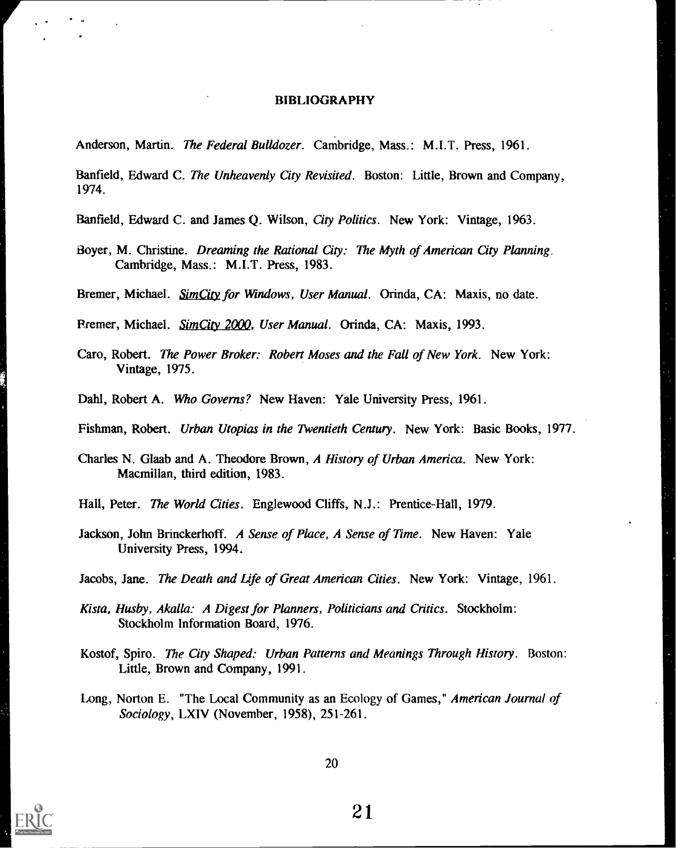#### BIBLIOGRAPHY

Anderson, Martin. The Federal Bulldozer. Cambridge, Mass.: M.I.T. Press, 1961.

Banfield, Edward C. The Unheavenly City Revisited. Boston: Little, Brown and Company, 1974.

Banfield, Edward C. and James Q. Wilson, City Politics. New York: Vintage, 1963.

Boyer, M. Christine. Dreaming the Rational City: The Myth of American City Planning. Cambridge, Mass.: M.I.T. Press, 1983.

Bremer, Michael. SimCity for Windows, User Manual. Orinda, CA: Maxis, no date.

Premer, Michael. SimCity 2000, User Manual. Orinda, CA: Maxis, 1993.

- Caro, Robert. The Power Broker: Robert Moses and the Fall of New York. New York: Vintage, 1975.
- Dahl, Robert A. Who Governs? New Haven: Yale University Press, 1961.

Fishman, Robert. Urban Utopias in the Twentieth Century. New York: Basic Books, 1977.

- Charles N. Glaab and A. Theodore Brown, A History of Urban America. New York: Macmillan, third edition, 1983.
- Hall, Peter. The World Cities. Englewood Cliffs, N.J.: Prentice-Hall, 1979.
- Jackson, John Brinckerhoff. A Sense of Place, A Sense of Time. New Haven: Yale University Press, 1994.

Jacobs, Jane. The Death and Life of Great American Cities. New York: Vintage, 1961.

- Kista, Husby, Akalla: A Digest for Planners, Politicians and Critics. Stockholm: Stockholm Information Board, 1976.
- Kostof, Spiro. The City Shaped: Urban Patterns and Meanings Through History. Boston: Little, Brown and Company, 1991.
- Long, Norton E. "The Local Community as an Ecology of Games," American Journal of Sociology, LXIV (November, 1958), 251-261.



20